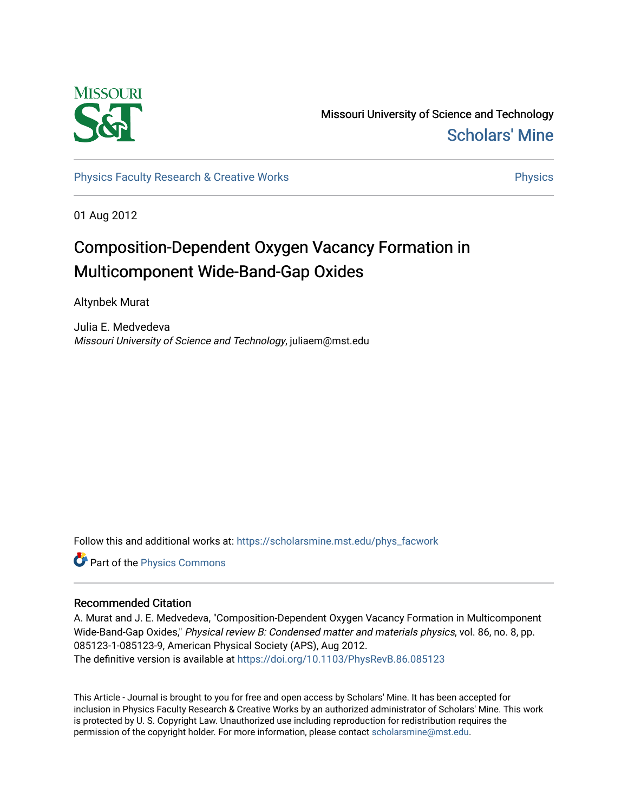

Missouri University of Science and Technology [Scholars' Mine](https://scholarsmine.mst.edu/) 

[Physics Faculty Research & Creative Works](https://scholarsmine.mst.edu/phys_facwork) **Physics** [Physics](https://scholarsmine.mst.edu/phys) Physics

01 Aug 2012

# Composition-Dependent Oxygen Vacancy Formation in Multicomponent Wide-Band-Gap Oxides

Altynbek Murat

Julia E. Medvedeva Missouri University of Science and Technology, juliaem@mst.edu

Follow this and additional works at: [https://scholarsmine.mst.edu/phys\\_facwork](https://scholarsmine.mst.edu/phys_facwork?utm_source=scholarsmine.mst.edu%2Fphys_facwork%2F1506&utm_medium=PDF&utm_campaign=PDFCoverPages) 

Part of the [Physics Commons](http://network.bepress.com/hgg/discipline/193?utm_source=scholarsmine.mst.edu%2Fphys_facwork%2F1506&utm_medium=PDF&utm_campaign=PDFCoverPages)

# Recommended Citation

A. Murat and J. E. Medvedeva, "Composition-Dependent Oxygen Vacancy Formation in Multicomponent Wide-Band-Gap Oxides," Physical review B: Condensed matter and materials physics, vol. 86, no. 8, pp. 085123-1-085123-9, American Physical Society (APS), Aug 2012. The definitive version is available at <https://doi.org/10.1103/PhysRevB.86.085123>

This Article - Journal is brought to you for free and open access by Scholars' Mine. It has been accepted for inclusion in Physics Faculty Research & Creative Works by an authorized administrator of Scholars' Mine. This work is protected by U. S. Copyright Law. Unauthorized use including reproduction for redistribution requires the permission of the copyright holder. For more information, please contact [scholarsmine@mst.edu](mailto:scholarsmine@mst.edu).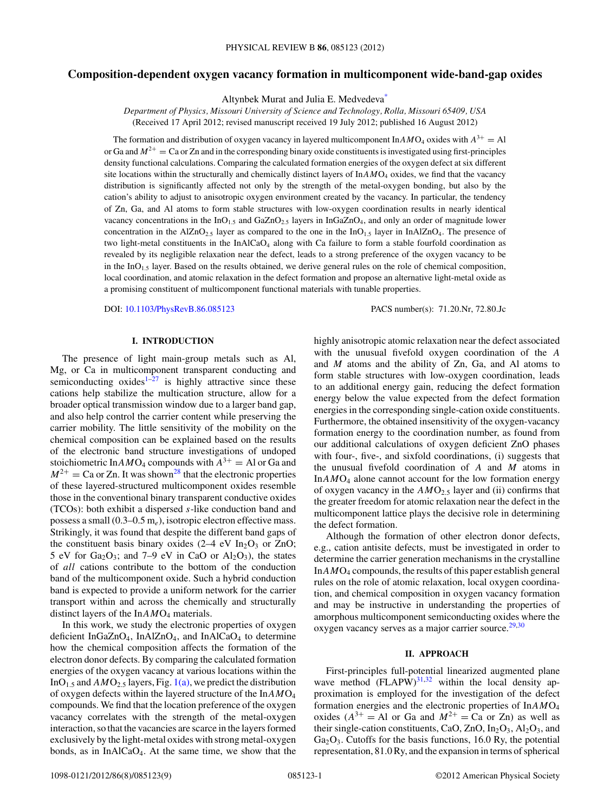# **Composition-dependent oxygen vacancy formation in multicomponent wide-band-gap oxides**

Altynbek Murat and Julia E. Medvedev[a\\*](#page-8-0)

*Department of Physics, Missouri University of Science and Technology, Rolla, Missouri 65409, USA* (Received 17 April 2012; revised manuscript received 19 July 2012; published 16 August 2012)

The formation and distribution of oxygen vacancy in layered multicomponent  $InAMO<sub>4</sub>$  oxides with  $A<sup>3+</sup> = AI$ or Ga and  $M^{2+}$  = Ca or Zn and in the corresponding binary oxide constituents is investigated using first-principles density functional calculations. Comparing the calculated formation energies of the oxygen defect at six different site locations within the structurally and chemically distinct layers of  $InAMO<sub>4</sub>$  oxides, we find that the vacancy distribution is significantly affected not only by the strength of the metal-oxygen bonding, but also by the cation's ability to adjust to anisotropic oxygen environment created by the vacancy. In particular, the tendency of Zn, Ga, and Al atoms to form stable structures with low-oxygen coordination results in nearly identical vacancy concentrations in the  $InO<sub>1.5</sub>$  and  $GaZnO<sub>2.5</sub>$  layers in InGaZnO<sub>4</sub>, and only an order of magnitude lower concentration in the AlZnO<sub>2.5</sub> layer as compared to the one in the  $InO<sub>1.5</sub>$  layer in InAlZnO<sub>4</sub>. The presence of two light-metal constituents in the InAlCaO<sub>4</sub> along with Ca failure to form a stable fourfold coordination as revealed by its negligible relaxation near the defect, leads to a strong preference of the oxygen vacancy to be in the  $InO<sub>1.5</sub>$  layer. Based on the results obtained, we derive general rules on the role of chemical composition, local coordination, and atomic relaxation in the defect formation and propose an alternative light-metal oxide as a promising constituent of multicomponent functional materials with tunable properties.

DOI: [10.1103/PhysRevB.86.085123](http://dx.doi.org/10.1103/PhysRevB.86.085123) PACS number(s): 71*.*20*.*Nr, 72*.*80*.*Jc

### **I. INTRODUCTION**

The presence of light main-group metals such as Al, Mg, or Ca in multicomponent transparent conducting and semiconducting oxides<sup> $1-27$ </sup> is highly attractive since these cations help stabilize the multication structure, allow for a broader optical transmission window due to a larger band gap, and also help control the carrier content while preserving the carrier mobility. The little sensitivity of the mobility on the chemical composition can be explained based on the results of the electronic band structure investigations of undoped stoichiometric In $AMO_4$  compounds with  $A^{3+} = Al$  or Ga and  $M^{2+}$  = Ca or Zn. It was shown<sup>28</sup> that the electronic properties of these layered-structured multicomponent oxides resemble those in the conventional binary transparent conductive oxides (TCOs): both exhibit a dispersed *s*-like conduction band and possess a small (0.3–0.5 m*e*), isotropic electron effective mass. Strikingly, it was found that despite the different band gaps of the constituent basis binary oxides  $(2-4 \text{ eV} \ln_2\text{O}_3 \text{ or } \text{ZnO})$ ; 5 eV for  $Ga_2O_3$ ; and 7–9 eV in CaO or  $Al_2O_3$ ), the states of *all* cations contribute to the bottom of the conduction band of the multicomponent oxide. Such a hybrid conduction band is expected to provide a uniform network for the carrier transport within and across the chemically and structurally distinct layers of the In $AMO<sub>4</sub>$  materials.

In this work, we study the electronic properties of oxygen deficient InGaZnO<sub>4</sub>, InAlZnO<sub>4</sub>, and InAlCaO<sub>4</sub> to determine how the chemical composition affects the formation of the electron donor defects. By comparing the calculated formation energies of the oxygen vacancy at various locations within the InO<sub>1.5</sub> and  $AMO_{2.5}$  layers, Fig. [1\(a\),](#page-2-0) we predict the distribution of oxygen defects within the layered structure of the In*AM*O4 compounds. We find that the location preference of the oxygen vacancy correlates with the strength of the metal-oxygen interaction, so that the vacancies are scarce in the layers formed exclusively by the light-metal oxides with strong metal-oxygen bonds, as in  $InAlCaO<sub>4</sub>$ . At the same time, we show that the highly anisotropic atomic relaxation near the defect associated with the unusual fivefold oxygen coordination of the *A* and *M* atoms and the ability of Zn, Ga, and Al atoms to form stable structures with low-oxygen coordination, leads to an additional energy gain, reducing the defect formation energy below the value expected from the defect formation energies in the corresponding single-cation oxide constituents. Furthermore, the obtained insensitivity of the oxygen-vacancy formation energy to the coordination number, as found from our additional calculations of oxygen deficient ZnO phases with four-, five-, and sixfold coordinations, (i) suggests that the unusual fivefold coordination of *A* and *M* atoms in In*AM*O4 alone cannot account for the low formation energy of oxygen vacancy in the  $AMO<sub>2.5</sub>$  layer and (ii) confirms that the greater freedom for atomic relaxation near the defect in the multicomponent lattice plays the decisive role in determining the defect formation.

Although the formation of other electron donor defects, e.g., cation antisite defects, must be investigated in order to determine the carrier generation mechanisms in the crystalline In*AM*O4 compounds, the results of this paper establish general rules on the role of atomic relaxation, local oxygen coordination, and chemical composition in oxygen vacancy formation and may be instructive in understanding the properties of amorphous multicomponent semiconducting oxides where the oxygen vacancy serves as a major carrier source. $29,30$ 

#### **II. APPROACH**

First-principles full-potential linearized augmented plane wave method  $(FLAPW)^{31,32}$  $(FLAPW)^{31,32}$  $(FLAPW)^{31,32}$  within the local density approximation is employed for the investigation of the defect formation energies and the electronic properties of In*AM*O4 oxides  $(A^{3+} = A$ l or Ga and  $M^{2+} = Ca$  or Zn) as well as their single-cation constituents, CaO, ZnO,  $In_2O_3$ ,  $Al_2O_3$ , and  $Ga<sub>2</sub>O<sub>3</sub>$ . Cutoffs for the basis functions, 16.0 Ry, the potential representation, 81.0 Ry, and the expansion in terms of spherical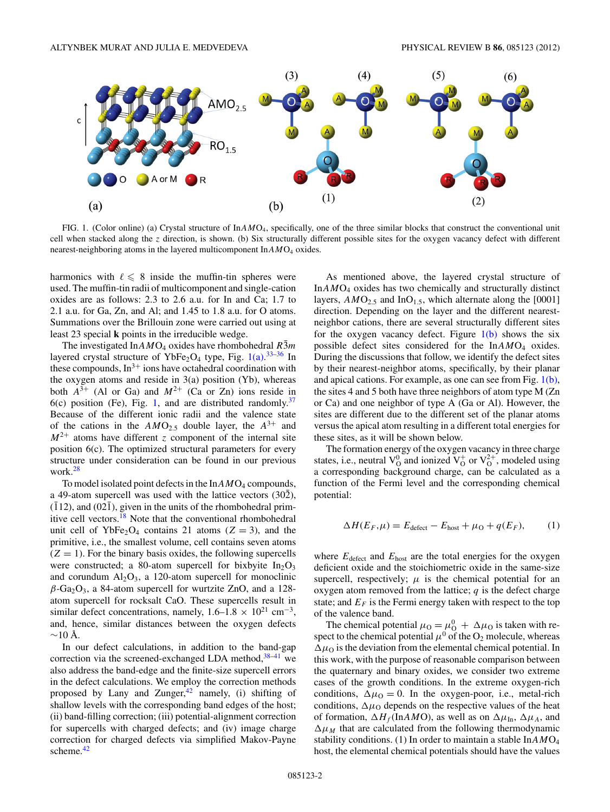<span id="page-2-0"></span>

FIG. 1. (Color online) (a) Crystal structure of In*AM*O4, specifically, one of the three similar blocks that construct the conventional unit cell when stacked along the *z* direction, is shown. (b) Six structurally different possible sites for the oxygen vacancy defect with different nearest-neighboring atoms in the layered multicomponent In $AMO<sub>4</sub>$  oxides.

harmonics with  $\ell \leq 8$  inside the muffin-tin spheres were used. The muffin-tin radii of multicomponent and single-cation oxides are as follows: 2.3 to 2.6 a.u. for In and Ca; 1.7 to 2.1 a.u. for Ga, Zn, and Al; and 1.45 to 1.8 a.u. for O atoms. Summations over the Brillouin zone were carried out using at least 23 special **k** points in the irreducible wedge.

The investigated In $AMO_4$  oxides have rhombohedral *R*3*m* layered crystal structure of YbFe<sub>2</sub>O<sub>4</sub> type, Fig.  $1(a)$ .<sup>[33–36](#page-9-0)</sup> In these compounds,  $In<sup>3+</sup>$  ions have octahedral coordination with the oxygen atoms and reside in  $3(a)$  position (Yb), whereas both  $A^{3+}$  (Al or Ga) and  $M^{2+}$  (Ca or Zn) ions reside in  $6(c)$  position (Fe), Fig. 1, and are distributed randomly.<sup>[37](#page-9-0)</sup> Because of the different ionic radii and the valence state of the cations in the  $AMO_{2.5}$  double layer, the  $A^{3+}$  and  $M^{2+}$  atoms have different *z* component of the internal site position 6(c). The optimized structural parameters for every structure under consideration can be found in our previous work. $^{28}$  $^{28}$  $^{28}$ 

To model isolated point defects in the In $AMO<sub>4</sub>$  compounds, a 49-atom supercell was used with the lattice vectors  $(30\overline{2})$ ,  $(112)$ , and  $(02\overline{1})$ , given in the units of the rhombohedral primitive cell vectors[.18](#page-9-0) Note that the conventional rhombohedral unit cell of YbFe<sub>2</sub>O<sub>4</sub> contains 21 atoms  $(Z = 3)$ , and the primitive, i.e., the smallest volume, cell contains seven atoms  $(Z = 1)$ . For the binary basis oxides, the following supercells were constructed; a 80-atom supercell for bixbyite  $In_2O_3$ and corundum  $Al_2O_3$ , a 120-atom supercell for monoclinic  $\beta$ -Ga<sub>2</sub>O<sub>3</sub>, a 84-atom supercell for wurtzite ZnO, and a 128atom supercell for rocksalt CaO. These supercells result in similar defect concentrations, namely,  $1.6-1.8 \times 10^{21}$  cm<sup>-3</sup>, and, hence, similar distances between the oxygen defects  $~\sim$ 10 Å.

In our defect calculations, in addition to the band-gap correction via the screened-exchanged LDA method, $38-41$  we also address the band-edge and the finite-size supercell errors in the defect calculations. We employ the correction methods proposed by Lany and Zunger, $42$  namely, (i) shifting of shallow levels with the corresponding band edges of the host; (ii) band-filling correction; (iii) potential-alignment correction for supercells with charged defects; and (iv) image charge correction for charged defects via simplified Makov-Payne scheme.<sup>[42](#page-9-0)</sup>

As mentioned above, the layered crystal structure of In*AM*O4 oxides has two chemically and structurally distinct layers,  $AMO_{2.5}$  and  $InO_{1.5}$ , which alternate along the [0001] direction. Depending on the layer and the different nearestneighbor cations, there are several structurally different sites for the oxygen vacancy defect. Figure  $1(b)$  shows the six possible defect sites considered for the In*AM*O4 oxides. During the discussions that follow, we identify the defect sites by their nearest-neighbor atoms, specifically, by their planar and apical cations. For example, as one can see from Fig. 1(b), the sites 4 and 5 both have three neighbors of atom type M (Zn or Ca) and one neighbor of type A (Ga or Al). However, the sites are different due to the different set of the planar atoms versus the apical atom resulting in a different total energies for these sites, as it will be shown below.

The formation energy of the oxygen vacancy in three charge states, i.e., neutral  $V_0^0$  and ionized  $V_0^+$  or  $V_0^{2+}$ , modeled using a corresponding background charge, can be calculated as a function of the Fermi level and the corresponding chemical potential:

$$
\Delta H(E_F, \mu) = E_{\text{defect}} - E_{\text{host}} + \mu_0 + q(E_F), \tag{1}
$$

where  $E_{\text{defect}}$  and  $E_{\text{host}}$  are the total energies for the oxygen deficient oxide and the stoichiometric oxide in the same-size supercell, respectively;  $\mu$  is the chemical potential for an oxygen atom removed from the lattice;  $q$  is the defect charge state; and  $E_F$  is the Fermi energy taken with respect to the top of the valence band.

The chemical potential  $\mu_0 = \mu_0^0 + \Delta\mu_0$  is taken with respect to the chemical potential  $\mu^0$  of the O<sub>2</sub> molecule, whereas  $\Delta \mu_0$  is the deviation from the elemental chemical potential. In this work, with the purpose of reasonable comparison between the quaternary and binary oxides, we consider two extreme cases of the growth conditions. In the extreme oxygen-rich conditions,  $\Delta \mu_0 = 0$ . In the oxygen-poor, i.e., metal-rich conditions,  $\Delta \mu_0$  depends on the respective values of the heat of formation,  $\Delta H_f$ (In*AMO*), as well as on  $\Delta \mu_{\text{In}}$ ,  $\Delta \mu_A$ , and  $\Delta \mu_M$  that are calculated from the following thermodynamic stability conditions. (1) In order to maintain a stable In*AM*O4 host, the elemental chemical potentials should have the values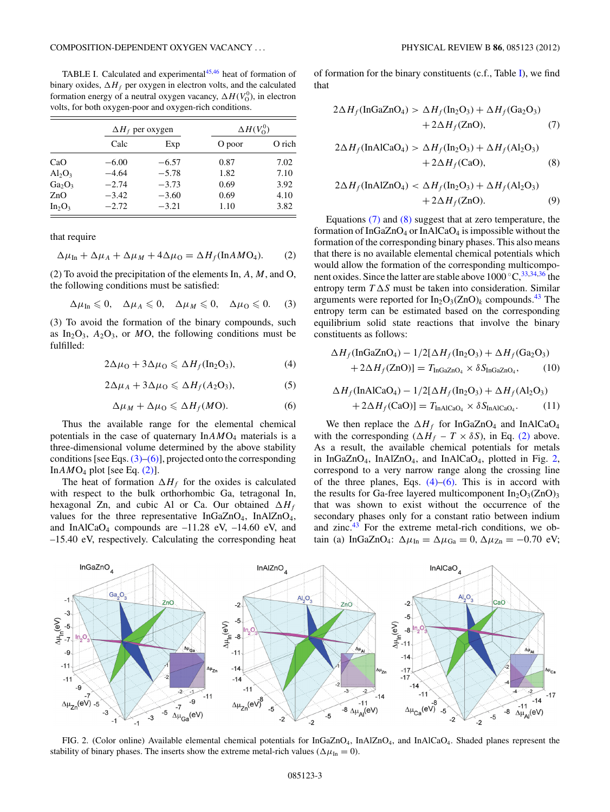<span id="page-3-0"></span>TABLE I. Calculated and experimental<sup>[45,46](#page-9-0)</sup> heat of formation of binary oxides,  $\Delta H_f$  per oxygen in electron volts, and the calculated formation energy of a neutral oxygen vacancy,  $\Delta H(V_0^0)$ , in electron volts, for both oxygen-poor and oxygen-rich conditions.

|                                |         | $\Delta H_f$ per oxygen | $\Delta H(V^0_0)$ |        |  |  |  |
|--------------------------------|---------|-------------------------|-------------------|--------|--|--|--|
|                                | Calc    | Exp                     | O poor            | O rich |  |  |  |
| CaO                            | $-6.00$ | $-6.57$                 | 0.87              | 7.02   |  |  |  |
| $Al_2O_3$                      | $-4.64$ | $-5.78$                 | 1.82              | 7.10   |  |  |  |
| Ga <sub>2</sub> O <sub>3</sub> | $-2.74$ | $-3.73$                 | 0.69              | 3.92   |  |  |  |
| ZnO                            | $-3.42$ | $-3.60$                 | 0.69              | 4.10   |  |  |  |
| $In_2O_3$                      | $-2.72$ | $-3.21$                 | 1.10              | 3.82   |  |  |  |

that require

$$
\Delta \mu_{\text{In}} + \Delta \mu_A + \Delta \mu_M + 4\Delta \mu_0 = \Delta H_f(\text{InAMO}_4). \tag{2}
$$

(2) To avoid the precipitation of the elements In, *A*, *M*, and O, the following conditions must be satisfied:

 $\Delta \mu_{\text{In}} \leq 0$ ,  $\Delta \mu_A \leq 0$ ,  $\Delta \mu_M \leq 0$ ,  $\Delta \mu_0 \leq 0$ . (3)

(3) To avoid the formation of the binary compounds, such as  $In_2O_3$ ,  $A_2O_3$ , or *MO*, the following conditions must be fulfilled:

$$
2\Delta\mu_0 + 3\Delta\mu_0 \leq \Delta H_f(\text{In}_2\text{O}_3),\tag{4}
$$

$$
2\Delta\mu_A + 3\Delta\mu_0 \leq \Delta H_f(A_2O_3),\tag{5}
$$

$$
\Delta \mu_M + \Delta \mu_0 \leq \Delta H_f(MO). \tag{6}
$$

Thus the available range for the elemental chemical potentials in the case of quaternary In*AM*O4 materials is a three-dimensional volume determined by the above stability conditions [see Eqs.  $(3)$ – $(6)$ ], projected onto the corresponding In $AMO_4$  plot [see Eq.  $(2)$ ].

The heat of formation  $\Delta H_f$  for the oxides is calculated with respect to the bulk orthorhombic Ga, tetragonal In, hexagonal Zn, and cubic Al or Ca. Our obtained  $\Delta H_f$ values for the three representative  $InGaZnO<sub>4</sub>, InAlZnO<sub>4</sub>$ , and InAlCaO<sub>4</sub> compounds are  $-11.28$  eV,  $-14.60$  eV, and –15.40 eV, respectively. Calculating the corresponding heat of formation for the binary constituents (c.f., Table I), we find that

$$
2\Delta H_f(\text{InGaZnO}_4) > \Delta H_f(\text{In}_2\text{O}_3) + \Delta H_f(\text{Ga}_2\text{O}_3)
$$
  
+2\Delta H\_f(\text{ZnO}), (7)

$$
2\Delta H_f(\text{InAlCaO}_4) > \Delta H_f(\text{In}_2\text{O}_3) + \Delta H_f(\text{Al}_2\text{O}_3)
$$
  
+2\Delta H\_f(\text{CaO}), \t(8)

$$
2\Delta H_f(\text{InAlZnO}_4) < \Delta H_f(\text{In}_2\text{O}_3) + \Delta H_f(\text{Al}_2\text{O}_3) \\
+ 2\Delta H_f(\text{ZnO}).\n \tag{9}
$$

Equations (7) and (8) suggest that at zero temperature, the formation of InGaZnO4 or InAlCaO4 is impossible without the formation of the corresponding binary phases. This also means that there is no available elemental chemical potentials which would allow the formation of the corresponding multicomponent oxides. Since the latter are stable above  $1000 °C$ ,  $33,34,36$  the entropy term  $T \Delta S$  must be taken into consideration. Similar arguments were reported for  $In_2O_3(ZnO)_k$  compounds.<sup>[43](#page-9-0)</sup> The entropy term can be estimated based on the corresponding equilibrium solid state reactions that involve the binary constituents as follows:

$$
\Delta H_f(\text{InGaZnO}_4) - 1/2[\Delta H_f(\text{In}_2\text{O}_3) + \Delta H_f(\text{Ga}_2\text{O}_3) + 2\Delta H_f(\text{ZnO})] = T_{\text{InGaZnO}_4} \times \delta S_{\text{InGaZnO}_4}, \qquad (10)
$$

$$
\Delta H_f(\text{InAlCaO}_4) - 1/2[\Delta H_f(\text{In}_2\text{O}_3) + \Delta H_f(\text{Al}_2\text{O}_3) + 2\Delta H_f(\text{CaO})] = T_{\text{InAlCaO}_4} \times \delta S_{\text{InAlCaO}_4}.
$$
 (11)

We then replace the  $\Delta H_f$  for InGaZnO<sub>4</sub> and InAlCaO<sub>4</sub> with the corresponding ( $\Delta H_f - T \times \delta S$ ), in Eq. (2) above. As a result, the available chemical potentials for metals in InGaZnO<sub>4</sub>, InAlZnO<sub>4</sub>, and InAlCaO<sub>4</sub>, plotted in Fig. 2, correspond to a very narrow range along the crossing line of the three planes, Eqs.  $(4)$ – $(6)$ . This is in accord with the results for Ga-free layered multicomponent  $In_2O_3(ZnO)_3$ that was shown to exist without the occurrence of the secondary phases only for a constant ratio between indium and zinc. $43$  For the extreme metal-rich conditions, we obtain (a) InGaZnO<sub>4</sub>:  $\Delta \mu_{In} = \Delta \mu_{Ga} = 0$ ,  $\Delta \mu_{Zn} = -0.70$  eV;



FIG. 2. (Color online) Available elemental chemical potentials for  $InGaZnO<sub>4</sub>$ ,  $InAlZnO<sub>4</sub>$ , and  $InAlCaO<sub>4</sub>$ . Shaded planes represent the stability of binary phases. The inserts show the extreme metal-rich values ( $\Delta \mu_{\text{In}} = 0$ ).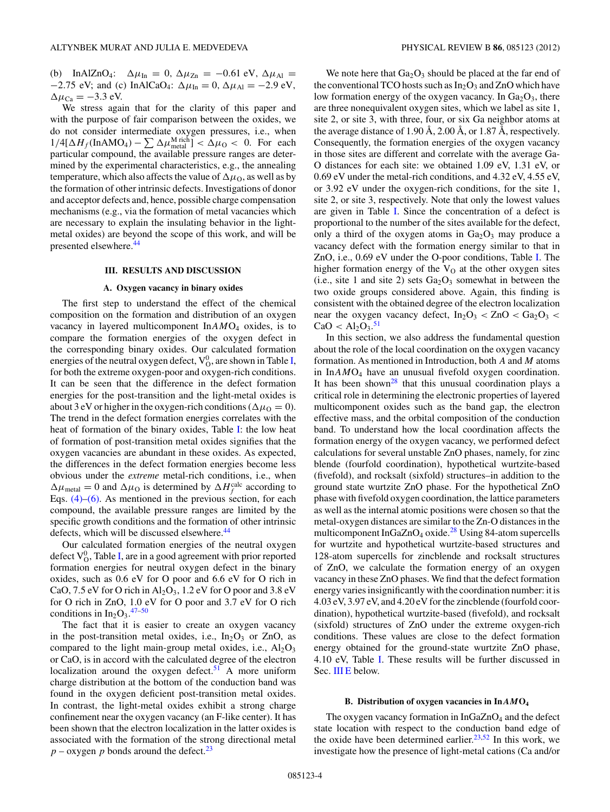<span id="page-4-0"></span>(b) InAlZnO<sub>4</sub>:  $\Delta \mu_{In} = 0$ ,  $\Delta \mu_{Zn} = -0.61$  eV,  $\Delta \mu_{Al} =$  $-2.75$  eV; and (c) InAlCaO<sub>4</sub>:  $\Delta \mu_{In} = 0$ ,  $\Delta \mu_{Al} = -2.9$  eV,  $\Delta \mu_{Ca} = -3.3$  eV.

We stress again that for the clarity of this paper and with the purpose of fair comparison between the oxides, we do not consider intermediate oxygen pressures, i.e., when  $1/4[\Delta H_f(\text{InAMO}_4) - \sum \Delta \mu_{\text{metal}}^{\text{M rich}}] < \Delta \mu_0 < 0$ . For each particular compound, the available pressure ranges are determined by the experimental characteristics, e.g., the annealing temperature, which also affects the value of  $\Delta \mu_{\rm O}$ , as well as by the formation of other intrinsic defects. Investigations of donor and acceptor defects and, hence, possible charge compensation mechanisms (e.g., via the formation of metal vacancies which are necessary to explain the insulating behavior in the lightmetal oxides) are beyond the scope of this work, and will be presented elsewhere.<sup>44</sup>

#### **III. RESULTS AND DISCUSSION**

#### **A. Oxygen vacancy in binary oxides**

The first step to understand the effect of the chemical composition on the formation and distribution of an oxygen vacancy in layered multicomponent In*AM*O4 oxides, is to compare the formation energies of the oxygen defect in the corresponding binary oxides. Our calculated formation energies of the neutral oxygen defect,  $\mathrm{V}^0_\mathrm{O}$ , are shown in Table [I,](#page-3-0) for both the extreme oxygen-poor and oxygen-rich conditions. It can be seen that the difference in the defect formation energies for the post-transition and the light-metal oxides is about 3 eV or higher in the oxygen-rich conditions ( $\Delta \mu_0 = 0$ ). The trend in the defect formation energies correlates with the heat of formation of the binary oxides, Table [I:](#page-3-0) the low heat of formation of post-transition metal oxides signifies that the oxygen vacancies are abundant in these oxides. As expected, the differences in the defect formation energies become less obvious under the *extreme* metal-rich conditions, i.e., when  $\Delta \mu_{\text{metal}} = 0$  and  $\Delta \mu_0$  is determined by  $\Delta H_f^{\text{calc}}$  according to Eqs.  $(4)$ – $(6)$ . As mentioned in the previous section, for each compound, the available pressure ranges are limited by the specific growth conditions and the formation of other intrinsic defects, which will be discussed elsewhere.<sup>[44](#page-9-0)</sup>

Our calculated formation energies of the neutral oxygen defect  $\rm V_{O}^{0},$  Table [I,](#page-3-0) are in a good agreement with prior reported formation energies for neutral oxygen defect in the binary oxides, such as 0.6 eV for O poor and 6.6 eV for O rich in CaO, 7.5 eV for O rich in  $Al_2O_3$ , 1.2 eV for O poor and 3.8 eV for O rich in ZnO, 1.0 eV for O poor and 3.7 eV for O rich conditions in  $In_2O_3$ .<sup>[47–50](#page-9-0)</sup>

The fact that it is easier to create an oxygen vacancy in the post-transition metal oxides, i.e.,  $In<sub>2</sub>O<sub>3</sub>$  or ZnO, as compared to the light main-group metal oxides, i.e.,  $Al_2O_3$ or CaO, is in accord with the calculated degree of the electron localization around the oxygen defect. $51$  A more uniform charge distribution at the bottom of the conduction band was found in the oxygen deficient post-transition metal oxides. In contrast, the light-metal oxides exhibit a strong charge confinement near the oxygen vacancy (an F-like center). It has been shown that the electron localization in the latter oxides is associated with the formation of the strong directional metal  $p$  – oxygen  $p$  bonds around the defect.<sup>[23](#page-9-0)</sup>

We note here that  $Ga<sub>2</sub>O<sub>3</sub>$  should be placed at the far end of the conventional TCO hosts such as  $In_2O_3$  and ZnO which have low formation energy of the oxygen vacancy. In  $Ga<sub>2</sub>O<sub>3</sub>$ , there are three nonequivalent oxygen sites, which we label as site 1, site 2, or site 3, with three, four, or six Ga neighbor atoms at the average distance of  $1.90 \text{ Å}, 2.00 \text{ Å}, \text{or } 1.87 \text{ Å}, \text{respectively.}$ Consequently, the formation energies of the oxygen vacancy in those sites are different and correlate with the average Ga-O distances for each site: we obtained 1.09 eV, 1.31 eV, or 0.69 eV under the metal-rich conditions, and 4.32 eV, 4.55 eV, or 3.92 eV under the oxygen-rich conditions, for the site 1, site 2, or site 3, respectively. Note that only the lowest values are given in Table [I.](#page-3-0) Since the concentration of a defect is proportional to the number of the sites available for the defect, only a third of the oxygen atoms in  $Ga<sub>2</sub>O<sub>3</sub>$  may produce a vacancy defect with the formation energy similar to that in ZnO, i.e., 0.69 eV under the O-poor conditions, Table [I.](#page-3-0) The higher formation energy of the  $V<sub>O</sub>$  at the other oxygen sites (i.e., site 1 and site 2) sets  $Ga<sub>2</sub>O<sub>3</sub>$  somewhat in between the two oxide groups considered above. Again, this finding is consistent with the obtained degree of the electron localization near the oxygen vacancy defect,  $In_2O_3 < ZnO < Ga_2O_3 <$  $CaO < Al_2O_3.^{51}$  $CaO < Al_2O_3.^{51}$  $CaO < Al_2O_3.^{51}$ 

In this section, we also address the fundamental question about the role of the local coordination on the oxygen vacancy formation. As mentioned in Introduction, both *A* and *M* atoms in In*AM*O4 have an unusual fivefold oxygen coordination. It has been shown<sup>28</sup> that this unusual coordination plays a critical role in determining the electronic properties of layered multicomponent oxides such as the band gap, the electron effective mass, and the orbital composition of the conduction band. To understand how the local coordination affects the formation energy of the oxygen vacancy, we performed defect calculations for several unstable ZnO phases, namely, for zinc blende (fourfold coordination), hypothetical wurtzite-based (fivefold), and rocksalt (sixfold) structures–in addition to the ground state wurtzite ZnO phase. For the hypothetical ZnO phase with fivefold oxygen coordination, the lattice parameters as well as the internal atomic positions were chosen so that the metal-oxygen distances are similar to the Zn-O distances in the multicomponent InGaZnO<sub>4</sub> oxide.<sup>[28](#page-9-0)</sup> Using 84-atom supercells for wurtzite and hypothetical wurtzite-based structures and 128-atom supercells for zincblende and rocksalt structures of ZnO, we calculate the formation energy of an oxygen vacancy in these ZnO phases. We find that the defect formation energy varies insignificantly with the coordination number: it is 4.03 eV, 3.97 eV, and 4.20 eV for the zincblende (fourfold coordination), hypothetical wurtzite-based (fivefold), and rocksalt (sixfold) structures of ZnO under the extreme oxygen-rich conditions. These values are close to the defect formation energy obtained for the ground-state wurtzite ZnO phase, 4.10 eV, Table [I.](#page-3-0) These results will be further discussed in Sec. [III E](#page-7-0) below.

#### **B. Distribution of oxygen vacancies in In***AM***O4**

The oxygen vacancy formation in  $InGaZnO<sub>4</sub>$  and the defect state location with respect to the conduction band edge of the oxide have been determined earlier.<sup>[23,52](#page-9-0)</sup> In this work, we investigate how the presence of light-metal cations (Ca and/or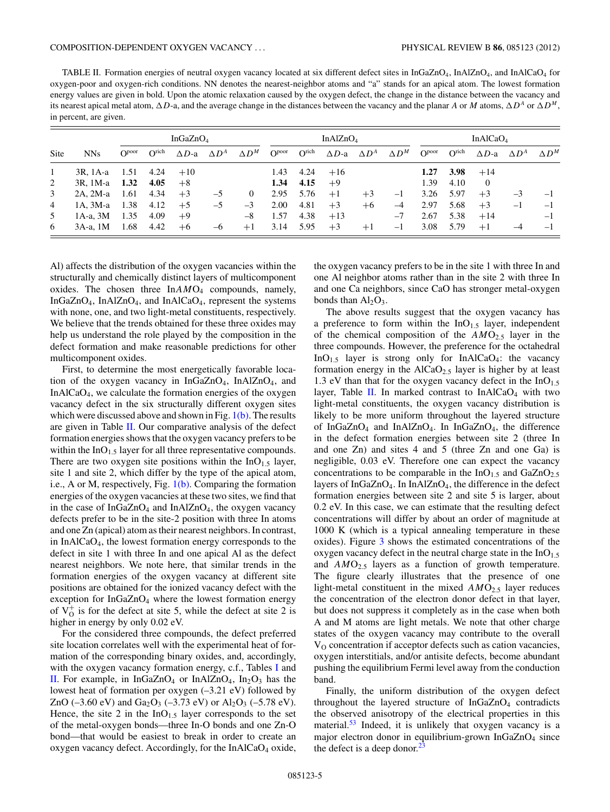<span id="page-5-0"></span>TABLE II. Formation energies of neutral oxygen vacancy located at six different defect sites in InGaZnO4, InAlZnO4, and InAlCaO4 for oxygen-poor and oxygen-rich conditions. NN denotes the nearest-neighbor atoms and "a" stands for an apical atom. The lowest formation energy values are given in bold. Upon the atomic relaxation caused by the oxygen defect, the change in the distance between the vacancy and its nearest apical metal atom,  $\Delta D$ -a, and the average change in the distances between the vacancy and the planar *A* or *M* atoms,  $\Delta D^A$  or  $\Delta D^M$ , in percent, are given.

|      |               | InGaZn $O_4$             |                   |                  |              | In $\text{AlZnO}_4$ |                   |                    |                            | In $AlCaO4$ |              |                   |                   |                  |              |              |
|------|---------------|--------------------------|-------------------|------------------|--------------|---------------------|-------------------|--------------------|----------------------------|-------------|--------------|-------------------|-------------------|------------------|--------------|--------------|
| Site | <b>NNs</b>    | $\Omega$ <sup>poor</sup> | O <sub>rich</sub> | $\triangle D$ -a | $\Delta D^A$ | $\Delta D^M$        | O <sub>boot</sub> | O <sub>right</sub> | $\Delta D$ -a $\Delta D^A$ |             | $\Delta D^M$ | O <sub>boot</sub> | O <sub>rich</sub> | $\triangle D$ -a | $\Delta D^A$ | $\wedge D^M$ |
|      | 3R, 1A-a      | 1.51                     | 4.24              | $+10$            |              |                     | 1.43              | 4.24               | $+16$                      |             |              | 1.27              | 3.98              | $+14$            |              |              |
| 2    | 3R, 1M-a      | 1.32                     | 4.05              | $+8$             |              |                     | 1.34              | 4.15               | $+9$                       |             |              | 1.39              | 4.10              | $\overline{0}$   |              |              |
| 3    | $2A. 2M-a$    | -1.61                    | 4.34              | $+3$             | $-5$         | $\Omega$            | 2.95              | 5.76               | $+1$                       | $+3$        | $-1$         | 3.26              | 5.97              | $+3$             | $-3$         | $-1$         |
| 4    | $1A$ , $3M-a$ | 1.38                     | 4.12              | $+5$             | $-5$         | $-3$                | 2.00              | 4.81               | $+3$                       | $+6$        | $-4$         | 2.97              | 5.68              | $+3$             | $-1$         | $-1$         |
| 5    | $1A-a$ , $3M$ | 1.35                     | 4.09              | $+9$             |              | $-8$                | 1.57              | 4.38               | $+13$                      |             | $-7$         | 2.67              | 5.38              | $+14$            |              | $-1$         |
| 6    | 3A-a. 1M      | 1.68                     | 4.42              | $+6$             | $-6$         | $+1$                | 3.14              | 5.95               | $+3$                       | $+1$        | $-1$         | 3.08              | 5.79              | $+1$             |              | $\equiv$     |

Al) affects the distribution of the oxygen vacancies within the structurally and chemically distinct layers of multicomponent oxides. The chosen three In $AMO<sub>4</sub>$  compounds, namely, InGaZnO<sub>4</sub>, InAlZnO<sub>4</sub>, and InAlCaO<sub>4</sub>, represent the systems with none, one, and two light-metal constituents, respectively. We believe that the trends obtained for these three oxides may help us understand the role played by the composition in the defect formation and make reasonable predictions for other multicomponent oxides.

First, to determine the most energetically favorable location of the oxygen vacancy in  $InGaZnO<sub>4</sub>$ , InAlZnO<sub>4</sub>, and InAlCaO4, we calculate the formation energies of the oxygen vacancy defect in the six structurally different oxygen sites which were discussed above and shown in Fig.  $1(b)$ . The results are given in Table II. Our comparative analysis of the defect formation energies shows that the oxygen vacancy prefers to be within the InO<sub>1.5</sub> layer for all three representative compounds. There are two oxygen site positions within the  $InO<sub>1.5</sub>$  layer, site 1 and site 2, which differ by the type of the apical atom, i.e., A or M, respectively, Fig.  $1(b)$ . Comparing the formation energies of the oxygen vacancies at these two sites, we find that in the case of  $InGaZnO<sub>4</sub>$  and  $InAlZnO<sub>4</sub>$ , the oxygen vacancy defects prefer to be in the site-2 position with three In atoms and one Zn (apical) atom as their nearest neighbors. In contrast, in InAlCaO4, the lowest formation energy corresponds to the defect in site 1 with three In and one apical Al as the defect nearest neighbors. We note here, that similar trends in the formation energies of the oxygen vacancy at different site positions are obtained for the ionized vacancy defect with the exception for InGaZnO<sub>4</sub> where the lowest formation energy of  $V_0^+$  is for the defect at site 5, while the defect at site 2 is higher in energy by only 0.02 eV.

For the considered three compounds, the defect preferred site location correlates well with the experimental heat of formation of the corresponding binary oxides, and, accordingly, with the oxygen vacancy formation energy, c.f., Tables [I](#page-3-0) and II. For example, in InGaZnO<sub>4</sub> or InAlZnO<sub>4</sub>, In<sub>2</sub>O<sub>3</sub> has the lowest heat of formation per oxygen (–3.21 eV) followed by ZnO (-3.60 eV) and Ga<sub>2</sub>O<sub>3</sub> (-3.73 eV) or Al<sub>2</sub>O<sub>3</sub> (-5.78 eV). Hence, the site 2 in the  $InO<sub>1.5</sub>$  layer corresponds to the set of the metal-oxygen bonds—three In-O bonds and one Zn-O bond—that would be easiest to break in order to create an oxygen vacancy defect. Accordingly, for the  $InAlCaO<sub>4</sub>$  oxide, the oxygen vacancy prefers to be in the site 1 with three In and one Al neighbor atoms rather than in the site 2 with three In and one Ca neighbors, since CaO has stronger metal-oxygen bonds than  $Al_2O_3$ .

The above results suggest that the oxygen vacancy has a preference to form within the  $InO<sub>1.5</sub>$  layer, independent of the chemical composition of the  $AMO_{2.5}$  layer in the three compounds. However, the preference for the octahedral InO<sub>1.5</sub> layer is strong only for InAlCaO<sub>4</sub>: the vacancy formation energy in the  $AICaO<sub>2.5</sub>$  layer is higher by at least 1.3 eV than that for the oxygen vacancy defect in the  $InO<sub>1.5</sub>$ layer, Table II. In marked contrast to InAlCaO<sub>4</sub> with two light-metal constituents, the oxygen vacancy distribution is likely to be more uniform throughout the layered structure of InGaZnO<sub>4</sub> and InAlZnO<sub>4</sub>. In InGaZnO<sub>4</sub>, the difference in the defect formation energies between site 2 (three In and one Zn) and sites 4 and 5 (three Zn and one Ga) is negligible, 0.03 eV. Therefore one can expect the vacancy concentrations to be comparable in the  $InO<sub>1.5</sub>$  and  $GaZnO<sub>2.5</sub>$ layers of  $InGaZnO<sub>4</sub>$ . In  $InAlZnO<sub>4</sub>$ , the difference in the defect formation energies between site 2 and site 5 is larger, about 0.2 eV. In this case, we can estimate that the resulting defect concentrations will differ by about an order of magnitude at 1000 K (which is a typical annealing temperature in these oxides). Figure [3](#page-6-0) shows the estimated concentrations of the oxygen vacancy defect in the neutral charge state in the  $InO<sub>1.5</sub>$ and *AMO*<sub>2.5</sub> layers as a function of growth temperature. The figure clearly illustrates that the presence of one light-metal constituent in the mixed  $AMO<sub>2.5</sub>$  layer reduces the concentration of the electron donor defect in that layer, but does not suppress it completely as in the case when both A and M atoms are light metals. We note that other charge states of the oxygen vacancy may contribute to the overall  $V<sub>O</sub>$  concentration if acceptor defects such as cation vacancies, oxygen interstitials, and/or antisite defects, become abundant pushing the equilibrium Fermi level away from the conduction band.

Finally, the uniform distribution of the oxygen defect throughout the layered structure of InGaZnO<sub>4</sub> contradicts the observed anisotropy of the electrical properties in this material.<sup>[53](#page-9-0)</sup> Indeed, it is unlikely that oxygen vacancy is a major electron donor in equilibrium-grown InGaZnO<sub>4</sub> since the defect is a deep donor. $23$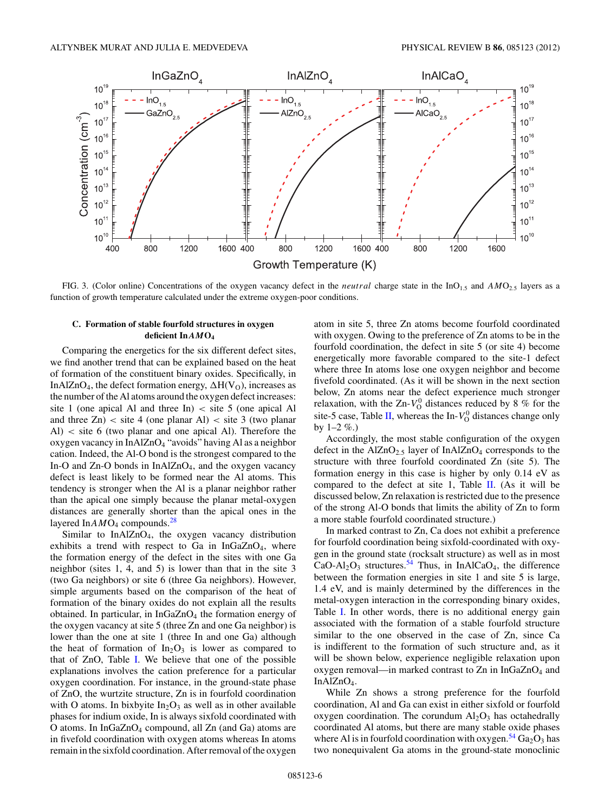<span id="page-6-0"></span>

FIG. 3. (Color online) Concentrations of the oxygen vacancy defect in the *neutral* charge state in the InO<sub>1.5</sub> and AMO<sub>2.5</sub> layers as a function of growth temperature calculated under the extreme oxygen-poor conditions.

#### **C. Formation of stable fourfold structures in oxygen deficient In***AM***O4**

Comparing the energetics for the six different defect sites, we find another trend that can be explained based on the heat of formation of the constituent binary oxides. Specifically, in InAlZnO<sub>4</sub>, the defect formation energy,  $\Delta H(V_O)$ , increases as the number of the Al atoms around the oxygen defect increases: site 1 (one apical Al and three In) *<* site 5 (one apical Al and three  $Z_n$ ) < site 4 (one planar Al) < site 3 (two planar Al) *<* site 6 (two planar and one apical Al). Therefore the oxygen vacancy in InAlZnO4 "avoids" having Al as a neighbor cation. Indeed, the Al-O bond is the strongest compared to the In-O and  $Zn$ -O bonds in InAl $ZnO<sub>4</sub>$ , and the oxygen vacancy defect is least likely to be formed near the Al atoms. This tendency is stronger when the Al is a planar neighbor rather than the apical one simply because the planar metal-oxygen distances are generally shorter than the apical ones in the layered In*AM*O<sub>4</sub> compounds.<sup>[28](#page-9-0)</sup>

Similar to InAlZnO4, the oxygen vacancy distribution exhibits a trend with respect to Ga in  $InGaZnO<sub>4</sub>$ , where the formation energy of the defect in the sites with one Ga neighbor (sites 1, 4, and 5) is lower than that in the site 3 (two Ga neighbors) or site 6 (three Ga neighbors). However, simple arguments based on the comparison of the heat of formation of the binary oxides do not explain all the results obtained. In particular, in  $InGaZnO<sub>4</sub>$  the formation energy of the oxygen vacancy at site 5 (three Zn and one Ga neighbor) is lower than the one at site 1 (three In and one Ga) although the heat of formation of  $In_2O_3$  is lower as compared to that of ZnO, Table [I.](#page-3-0) We believe that one of the possible explanations involves the cation preference for a particular oxygen coordination. For instance, in the ground-state phase of ZnO, the wurtzite structure, Zn is in fourfold coordination with O atoms. In bixbyite  $In_2O_3$  as well as in other available phases for indium oxide, In is always sixfold coordinated with O atoms. In  $InGaZnO<sub>4</sub>$  compound, all Zn (and Ga) atoms are in fivefold coordination with oxygen atoms whereas In atoms remain in the sixfold coordination. After removal of the oxygen atom in site 5, three Zn atoms become fourfold coordinated with oxygen. Owing to the preference of Zn atoms to be in the fourfold coordination, the defect in site 5 (or site 4) become energetically more favorable compared to the site-1 defect where three In atoms lose one oxygen neighbor and become fivefold coordinated. (As it will be shown in the next section below, Zn atoms near the defect experience much stronger relaxation, with the  $Zn-V_0^0$  distances reduced by 8 % for the site-5 case, Table [II,](#page-5-0) whereas the In- $V^0$  distances change only by  $1-2\%$ .)

Accordingly, the most stable configuration of the oxygen defect in the  $\text{AlZnO}_{2.5}$  layer of In $\text{AlZnO}_4$  corresponds to the structure with three fourfold coordinated Zn (site 5). The formation energy in this case is higher by only 0.14 eV as compared to the defect at site 1, Table [II.](#page-5-0) (As it will be discussed below, Zn relaxation is restricted due to the presence of the strong Al-O bonds that limits the ability of Zn to form a more stable fourfold coordinated structure.)

In marked contrast to Zn, Ca does not exhibit a preference for fourfold coordination being sixfold-coordinated with oxygen in the ground state (rocksalt structure) as well as in most  $CaO-Al_2O_3$  structures.<sup>[54](#page-9-0)</sup> Thus, in InAlCaO<sub>4</sub>, the difference between the formation energies in site 1 and site 5 is large, 1.4 eV, and is mainly determined by the differences in the metal-oxygen interaction in the corresponding binary oxides, Table [I.](#page-3-0) In other words, there is no additional energy gain associated with the formation of a stable fourfold structure similar to the one observed in the case of Zn, since Ca is indifferent to the formation of such structure and, as it will be shown below, experience negligible relaxation upon oxygen removal—in marked contrast to  $Zn$  in InGa $ZnO<sub>4</sub>$  and InAlZnO4.

While Zn shows a strong preference for the fourfold coordination, Al and Ga can exist in either sixfold or fourfold oxygen coordination. The corundum  $Al_2O_3$  has octahedrally coordinated Al atoms, but there are many stable oxide phases where Al is in fourfold coordination with oxygen.<sup>[54](#page-9-0)</sup>  $Ga<sub>2</sub>O<sub>3</sub>$  has two nonequivalent Ga atoms in the ground-state monoclinic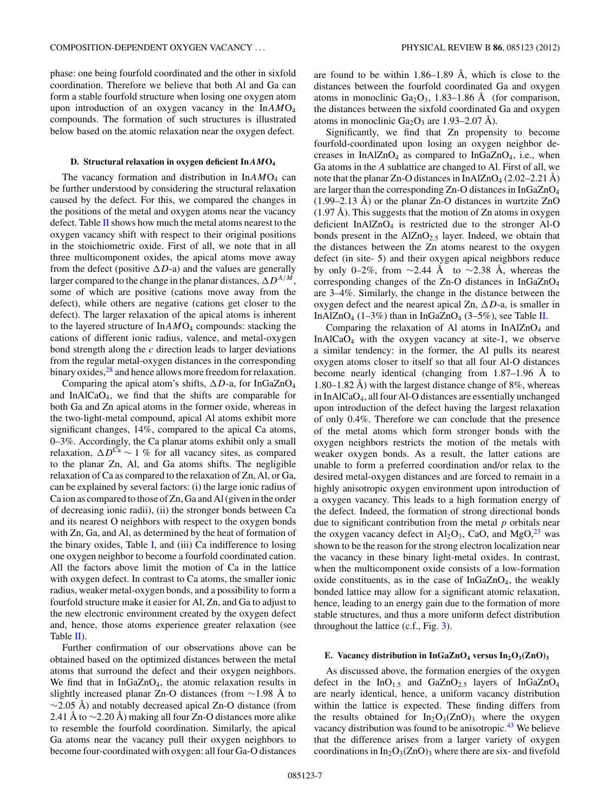<span id="page-7-0"></span>phase: one being fourfold coordinated and the other in sixfold coordination. Therefore we believe that both Al and Ga can form a stable fourfold structure when losing one oxygen atom upon introduction of an oxygen vacancy in the In*AM*O4 compounds. The formation of such structures is illustrated below based on the atomic relaxation near the oxygen defect.

#### **D. Structural relaxation in oxygen deficient In***AM***O4**

The vacancy formation and distribution in  $InAMO<sub>4</sub>$  can be further understood by considering the structural relaxation caused by the defect. For this, we compared the changes in the positions of the metal and oxygen atoms near the vacancy defect. Table  $II$  shows how much the metal atoms nearest to the oxygen vacancy shift with respect to their original positions in the stoichiometric oxide. First of all, we note that in all three multicomponent oxides, the apical atoms move away from the defect (positive  $\Delta D$ -a) and the values are generally larger compared to the change in the planar distances,  $\Delta D^{A/M}$ , some of which are positive (cations move away from the defect), while others are negative (cations get closer to the defect). The larger relaxation of the apical atoms is inherent to the layered structure of In*AM*O4 compounds: stacking the cations of different ionic radius, valence, and metal-oxygen bond strength along the *c* direction leads to larger deviations from the regular metal-oxygen distances in the corresponding binary oxides, $28$  and hence allows more freedom for relaxation.

Comparing the apical atom's shifts,  $\Delta D$ -a, for InGaZnO<sub>4</sub> and InAlCaO4, we find that the shifts are comparable for both Ga and Zn apical atoms in the former oxide, whereas in the two-light-metal compound, apical Al atoms exhibit more significant changes, 14%, compared to the apical Ca atoms, 0–3%. Accordingly, the Ca planar atoms exhibit only a small relaxation,  $\Delta D^{Ca} \sim 1$  % for all vacancy sites, as compared to the planar Zn, Al, and Ga atoms shifts. The negligible relaxation of Ca as compared to the relaxation of Zn, Al, or Ga, can be explained by several factors: (i) the large ionic radius of Ca ion as compared to those of Zn, Ga and Al (given in the order of decreasing ionic radii), (ii) the stronger bonds between Ca and its nearest O neighbors with respect to the oxygen bonds with Zn, Ga, and Al, as determined by the heat of formation of the binary oxides, Table [I,](#page-3-0) and (iii) Ca indifference to losing one oxygen neighbor to become a fourfold coordinated cation. All the factors above limit the motion of Ca in the lattice with oxygen defect. In contrast to Ca atoms, the smaller ionic radius, weaker metal-oxygen bonds, and a possibility to form a fourfold structure make it easier for Al, Zn, and Ga to adjust to the new electronic environment created by the oxygen defect and, hence, those atoms experience greater relaxation (see Table [II\)](#page-5-0).

Further confirmation of our observations above can be obtained based on the optimized distances between the metal atoms that surround the defect and their oxygen neighbors. We find that in  $InGaZnO<sub>4</sub>$ , the atomic relaxation results in slightly increased planar Zn-O distances (from ∼1.98 Å to  $\sim$ 2.05 Å) and notably decreased apical Zn-O distance (from 2.41 Å to  $\sim$ 2.20 Å) making all four Zn-O distances more alike to resemble the fourfold coordination. Similarly, the apical Ga atoms near the vacancy pull their oxygen neighbors to become four-coordinated with oxygen: all four Ga-O distances are found to be within  $1.86-1.89$  Å, which is close to the distances between the fourfold coordinated Ga and oxygen atoms in monoclinic  $Ga_2O_3$ , 1.83–1.86 Å (for comparison, the distances between the sixfold coordinated Ga and oxygen atoms in monoclinic  $Ga_2O_3$  are 1.93–2.07 Å).

Significantly, we find that Zn propensity to become fourfold-coordinated upon losing an oxygen neighbor decreases in InAlZnO<sub>4</sub> as compared to InGaZnO<sub>4</sub>, i.e., when Ga atoms in the *A* sublattice are changed to Al. First of all, we note that the planar Zn-O distances in InAlZnO<sub>4</sub> (2.02–2.21 Å) are larger than the corresponding Zn-O distances in InGaZnO4  $(1.99-2.13 \text{ Å})$  or the planar Zn-O distances in wurtzite ZnO  $(1.97 \text{ Å})$ . This suggests that the motion of Zn atoms in oxygen deficient InAl $ZnO<sub>4</sub>$  is restricted due to the stronger Al-O bonds present in the AlZnO<sub>2.5</sub> layer. Indeed, we obtain that the distances between the Zn atoms nearest to the oxygen defect (in site- 5) and their oxygen apical neighbors reduce by only 0–2%, from  $\sim$ 2.44 Å to  $\sim$ 2.38 Å, whereas the corresponding changes of the Zn-O distances in InGaZnO4 are 3–4%. Similarly, the change in the distance between the oxygen defect and the nearest apical Zn,  $\Delta D$ -a, is smaller in InAlZnO<sub>4</sub> (1–3%) than in InGaZnO<sub>4</sub> (3–5%), see Table [II.](#page-5-0)

Comparing the relaxation of Al atoms in  $InAlZnO<sub>4</sub>$  and InAlCaO4 with the oxygen vacancy at site-1, we observe a similar tendency: in the former, the Al pulls its nearest oxygen atoms closer to itself so that all four Al-O distances become nearly identical (changing from  $1.87-1.96$  Å to 1.80–1.82 Å) with the largest distance change of  $8\%$ , whereas in InAlCaO4, all four Al-O distances are essentially unchanged upon introduction of the defect having the largest relaxation of only 0.4%. Therefore we can conclude that the presence of the metal atoms which form stronger bonds with the oxygen neighbors restricts the motion of the metals with weaker oxygen bonds. As a result, the latter cations are unable to form a preferred coordination and/or relax to the desired metal-oxygen distances and are forced to remain in a highly anisotropic oxygen environment upon introduction of a oxygen vacancy. This leads to a high formation energy of the defect. Indeed, the formation of strong directional bonds due to significant contribution from the metal *p* orbitals near the oxygen vacancy defect in  $\text{Al}_2\text{O}_3$ , CaO, and  $\text{MgO}^{23}$  $\text{MgO}^{23}$  $\text{MgO}^{23}$  was shown to be the reason for the strong electron localization near the vacancy in these binary light-metal oxides. In contrast, when the multicomponent oxide consists of a low-formation oxide constituents, as in the case of  $InGaZnO<sub>4</sub>$ , the weakly bonded lattice may allow for a significant atomic relaxation, hence, leading to an energy gain due to the formation of more stable structures, and thus a more uniform defect distribution throughout the lattice (c.f., Fig. [3\)](#page-6-0).

## **E. Vacancy distribution in InGaZnO<sub>4</sub> versus In<sub>2</sub>O<sub>3</sub>(ZnO)<sub>3</sub>**

As discussed above, the formation energies of the oxygen defect in the InO<sub>1.5</sub> and GaZnO<sub>2.5</sub> layers of InGaZnO<sub>4</sub> are nearly identical, hence, a uniform vacancy distribution within the lattice is expected. These finding differs from the results obtained for  $In_2O_3(ZnO)$ <sub>3</sub> where the oxygen vacancy distribution was found to be anisotropic.<sup>43</sup> We believe that the difference arises from a larger variety of oxygen coordinations in  $In_2O_3(ZnO)_3$  where there are six- and fivefold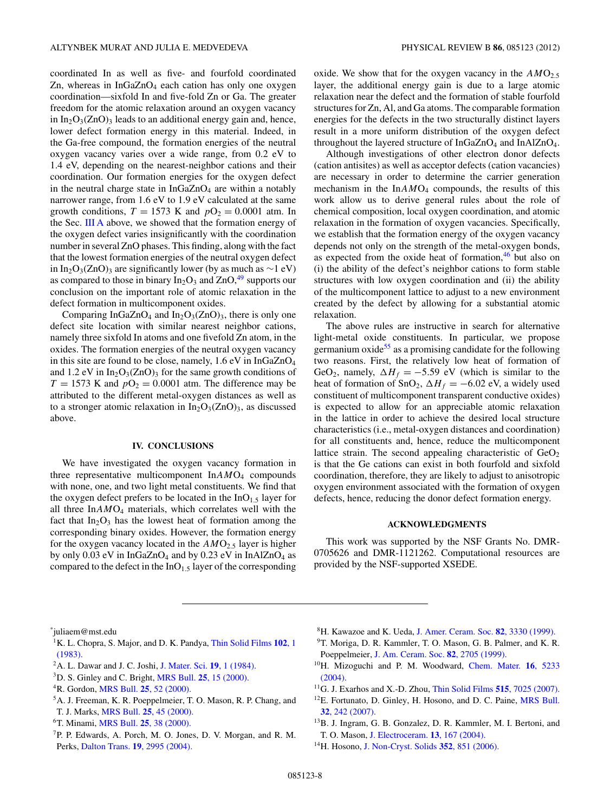<span id="page-8-0"></span>coordinated In as well as five- and fourfold coordinated Zn, whereas in  $InGaZnO<sub>4</sub>$  each cation has only one oxygen coordination—sixfold In and five-fold Zn or Ga. The greater freedom for the atomic relaxation around an oxygen vacancy in  $In_2O_3(ZnO)_3$  leads to an additional energy gain and, hence, lower defect formation energy in this material. Indeed, in the Ga-free compound, the formation energies of the neutral oxygen vacancy varies over a wide range, from 0.2 eV to 1.4 eV, depending on the nearest-neighbor cations and their coordination. Our formation energies for the oxygen defect in the neutral charge state in  $InGaZnO<sub>4</sub>$  are within a notably narrower range, from 1.6 eV to 1.9 eV calculated at the same growth conditions,  $T = 1573$  K and  $pO<sub>2</sub> = 0.0001$  atm. In the Sec. [III A](#page-4-0) above, we showed that the formation energy of the oxygen defect varies insignificantly with the coordination number in several ZnO phases. This finding, along with the fact that the lowest formation energies of the neutral oxygen defect in In<sub>2</sub>O<sub>3</sub>(ZnO)<sub>3</sub> are significantly lower (by as much as ∼1 eV) as compared to those in binary  $In_2O_3$  and  $ZnO<sub>1</sub><sup>49</sup>$  supports our conclusion on the important role of atomic relaxation in the defect formation in multicomponent oxides.

Comparing InGaZnO<sub>4</sub> and In<sub>2</sub>O<sub>3</sub>(ZnO)<sub>3</sub>, there is only one defect site location with similar nearest neighbor cations, namely three sixfold In atoms and one fivefold Zn atom, in the oxides. The formation energies of the neutral oxygen vacancy in this site are found to be close, namely,  $1.6 \text{ eV}$  in InGaZnO<sub>4</sub> and 1.2 eV in  $In_2O_3(ZnO)_3$  for the same growth conditions of  $T = 1573$  K and  $pO_2 = 0.0001$  atm. The difference may be attributed to the different metal-oxygen distances as well as to a stronger atomic relaxation in  $In_2O_3(ZnO)_3$ , as discussed above.

#### **IV. CONCLUSIONS**

We have investigated the oxygen vacancy formation in three representative multicomponent In*AM*O4 compounds with none, one, and two light metal constituents. We find that the oxygen defect prefers to be located in the  $InO<sub>1.5</sub>$  layer for all three In*AM*O4 materials, which correlates well with the fact that  $In<sub>2</sub>O<sub>3</sub>$  has the lowest heat of formation among the corresponding binary oxides. However, the formation energy for the oxygen vacancy located in the  $AMO<sub>2.5</sub>$  layer is higher by only 0.03 eV in InGaZnO<sub>4</sub> and by 0.23 eV in InAlZnO<sub>4</sub> as compared to the defect in the  $InO<sub>1.5</sub>$  layer of the corresponding oxide. We show that for the oxygen vacancy in the  $AMO<sub>2.5</sub>$ layer, the additional energy gain is due to a large atomic relaxation near the defect and the formation of stable fourfold structures for Zn, Al, and Ga atoms. The comparable formation energies for the defects in the two structurally distinct layers result in a more uniform distribution of the oxygen defect throughout the layered structure of  $InGaZnO<sub>4</sub>$  and  $InAlZnO<sub>4</sub>$ .

Although investigations of other electron donor defects (cation antisites) as well as acceptor defects (cation vacancies) are necessary in order to determine the carrier generation mechanism in the  $InAMO<sub>4</sub>$  compounds, the results of this work allow us to derive general rules about the role of chemical composition, local oxygen coordination, and atomic relaxation in the formation of oxygen vacancies. Specifically, we establish that the formation energy of the oxygen vacancy depends not only on the strength of the metal-oxygen bonds, as expected from the oxide heat of formation, $46$  but also on (i) the ability of the defect's neighbor cations to form stable structures with low oxygen coordination and (ii) the ability of the multicomponent lattice to adjust to a new environment created by the defect by allowing for a substantial atomic relaxation.

The above rules are instructive in search for alternative light-metal oxide constituents. In particular, we propose germanium  $\alpha$  ide<sup>55</sup> as a promising candidate for the following two reasons. First, the relatively low heat of formation of GeO<sub>2</sub>, namely,  $\Delta H_f = -5.59$  eV (which is similar to the heat of formation of SnO<sub>2</sub>,  $\Delta H_f = -6.02$  eV, a widely used constituent of multicomponent transparent conductive oxides) is expected to allow for an appreciable atomic relaxation in the lattice in order to achieve the desired local structure characteristics (i.e., metal-oxygen distances and coordination) for all constituents and, hence, reduce the multicomponent lattice strain. The second appealing characteristic of  $GeO<sub>2</sub>$ is that the Ge cations can exist in both fourfold and sixfold coordination, therefore, they are likely to adjust to anisotropic oxygen environment associated with the formation of oxygen defects, hence, reducing the donor defect formation energy.

#### **ACKNOWLEDGMENTS**

This work was supported by the NSF Grants No. DMR-0705626 and DMR-1121262. Computational resources are provided by the NSF-supported XSEDE.

\* juliaem@mst.edu

- 1K. L. Chopra, S. Major, and D. K. Pandya, [Thin Solid Films](http://dx.doi.org/10.1016/0040-6090(83)90256-0) **102**, 1 [\(1983\).](http://dx.doi.org/10.1016/0040-6090(83)90256-0)
- 2A. L. Dawar and J. C. Joshi, [J. Mater. Sci.](http://dx.doi.org/10.1007/BF02403106) **19**, 1 (1984).
- 3D. S. Ginley and C. Bright, MRS Bull. **25**[, 15 \(2000\).](http://dx.doi.org/10.1557/mrs2000.256)
- 4R. Gordon, MRS Bull. **25**[, 52 \(2000\).](http://dx.doi.org/10.1557/mrs2000.151)
- 5A. J. Freeman, K. R. Poeppelmeier, T. O. Mason, R. P. Chang, and T. J. Marks, MRS Bull. **25**[, 45 \(2000\).](http://dx.doi.org/10.1557/mrs2000.150)
- 6T. Minami, MRS Bull. **25**[, 38 \(2000\).](http://dx.doi.org/10.1557/mrs2000.149)
- 7P. P. Edwards, A. Porch, M. O. Jones, D. V. Morgan, and R. M. Perks, Dalton Trans. **19**[, 2995 \(2004\).](http://dx.doi.org/10.1039/b408864f)
- 8H. Kawazoe and K. Ueda, [J. Amer. Ceram. Soc.](http://dx.doi.org/10.1111/j.1151-2916.1999.tb02247.x) **82**, 3330 (1999).
- 9T. Moriga, D. R. Kammler, T. O. Mason, G. B. Palmer, and K. R. Poeppelmeier, [J. Am. Ceram. Soc.](http://dx.doi.org/10.1111/j.1151-2916.1999.tb02145.x) **82**, 2705 (1999).
- 10H. Mizoguchi and P. M. Woodward, [Chem. Mater.](http://dx.doi.org/10.1021/cm049249w) **16**, 5233 [\(2004\).](http://dx.doi.org/10.1021/cm049249w)
- 11G. J. Exarhos and X.-D. Zhou, [Thin Solid Films](http://dx.doi.org/10.1016/j.tsf.2007.03.014) **515**, 7025 (2007).
- <sup>12</sup>E. Fortunato, D. Ginley, H. Hosono, and D. C. Paine, [MRS Bull.](http://dx.doi.org/10.1557/mrs2007.29) **32**[, 242 \(2007\).](http://dx.doi.org/10.1557/mrs2007.29)
- 13B. J. Ingram, G. B. Gonzalez, D. R. Kammler, M. I. Bertoni, and T. O. Mason, [J. Electroceram.](http://dx.doi.org/10.1007/s10832-004-5094-y) **13**, 167 (2004).
- 14H. Hosono, [J. Non-Cryst. Solids](http://dx.doi.org/10.1016/j.jnoncrysol.2006.01.073) **352**, 851 (2006).